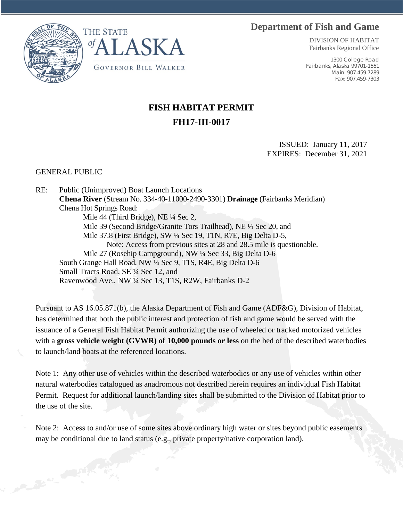## **Department of Fish and Game**





DIVISION OF HABITAT Fairbanks Regional Office

1300 College Road Fairbanks, Alaska 99701-1551 Main: 907.459.7289 Fax: 907.459-7303

## **FISH HABITAT PERMIT FH17-III-0017**

ISSUED: January 11, 2017 EXPIRES: December 31, 2021

## GENERAL PUBLIC

RE: Public (Unimproved) Boat Launch Locations **Chena River** (Stream No. 334-40-11000-2490-3301) **Drainage** (Fairbanks Meridian) Chena Hot Springs Road: Mile 44 (Third Bridge), NE ¼ Sec 2, Mile 39 (Second Bridge/Granite Tors Trailhead), NE ¼ Sec 20, and Mile 37.8 (First Bridge), SW ¼ Sec 19, T1N, R7E, Big Delta D-5, Note: Access from previous sites at 28 and 28.5 mile is questionable. Mile 27 (Rosehip Campground), NW ¼ Sec 33, Big Delta D-6 South Grange Hall Road, NW ¼ Sec 9, T1S, R4E, Big Delta D-6 Small Tracts Road, SE ¼ Sec 12, and Ravenwood Ave., NW ¼ Sec 13, T1S, R2W, Fairbanks D-2

Pursuant to AS 16.05.871(b), the Alaska Department of Fish and Game (ADF&G), Division of Habitat, has determined that both the public interest and protection of fish and game would be served with the issuance of a General Fish Habitat Permit authorizing the use of wheeled or tracked motorized vehicles with a **gross vehicle weight (GVWR) of 10,000 pounds or less** on the bed of the described waterbodies to launch/land boats at the referenced locations.

Note 1: Any other use of vehicles within the described waterbodies or any use of vehicles within other natural waterbodies catalogued as anadromous not described herein requires an individual Fish Habitat Permit. Request for additional launch/landing sites shall be submitted to the Division of Habitat prior to the use of the site.

Note 2: Access to and/or use of some sites above ordinary high water or sites beyond public easements may be conditional due to land status (e.g., private property/native corporation land).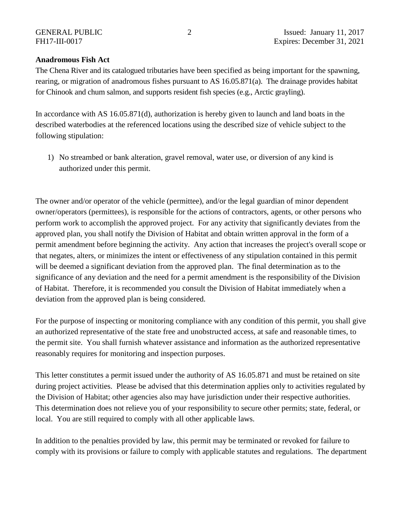## **Anadromous Fish Act**

The Chena River and its catalogued tributaries have been specified as being important for the spawning, rearing, or migration of anadromous fishes pursuant to AS 16.05.871(a). The drainage provides habitat for Chinook and chum salmon, and supports resident fish species (e.g., Arctic grayling).

In accordance with AS 16.05.871(d), authorization is hereby given to launch and land boats in the described waterbodies at the referenced locations using the described size of vehicle subject to the following stipulation:

1) No streambed or bank alteration, gravel removal, water use, or diversion of any kind is authorized under this permit.

The owner and/or operator of the vehicle (permittee), and/or the legal guardian of minor dependent owner/operators (permittees), is responsible for the actions of contractors, agents, or other persons who perform work to accomplish the approved project. For any activity that significantly deviates from the approved plan, you shall notify the Division of Habitat and obtain written approval in the form of a permit amendment before beginning the activity. Any action that increases the project's overall scope or that negates, alters, or minimizes the intent or effectiveness of any stipulation contained in this permit will be deemed a significant deviation from the approved plan. The final determination as to the significance of any deviation and the need for a permit amendment is the responsibility of the Division of Habitat. Therefore, it is recommended you consult the Division of Habitat immediately when a deviation from the approved plan is being considered.

For the purpose of inspecting or monitoring compliance with any condition of this permit, you shall give an authorized representative of the state free and unobstructed access, at safe and reasonable times, to the permit site. You shall furnish whatever assistance and information as the authorized representative reasonably requires for monitoring and inspection purposes.

This letter constitutes a permit issued under the authority of AS 16.05.871 and must be retained on site during project activities. Please be advised that this determination applies only to activities regulated by the Division of Habitat; other agencies also may have jurisdiction under their respective authorities. This determination does not relieve you of your responsibility to secure other permits; state, federal, or local. You are still required to comply with all other applicable laws.

In addition to the penalties provided by law, this permit may be terminated or revoked for failure to comply with its provisions or failure to comply with applicable statutes and regulations. The department